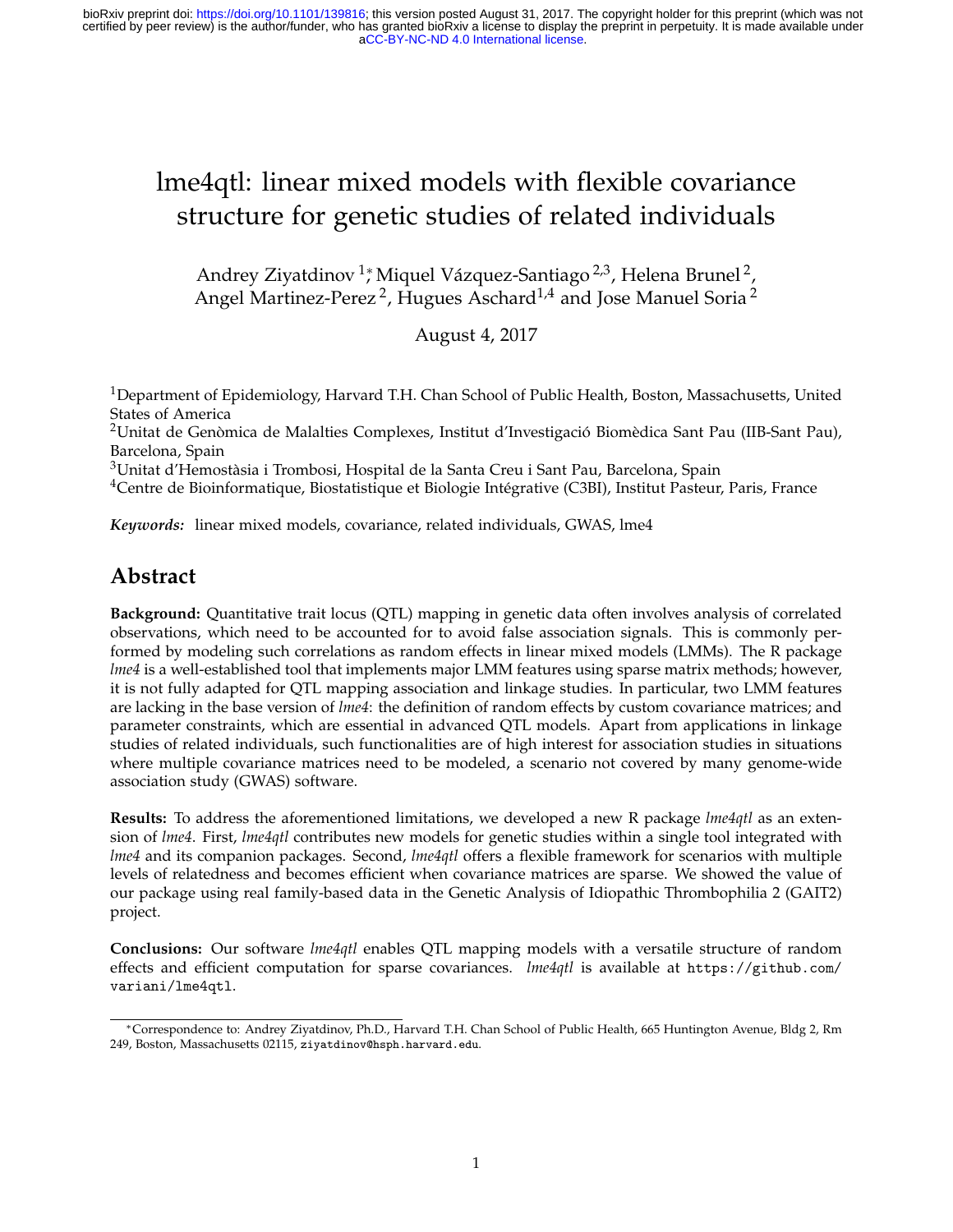[aCC-BY-NC-ND 4.0 International license.](http://creativecommons.org/licenses/by-nc-nd/4.0/) certified by peer review) is the author/funder, who has granted bioRxiv a license to display the preprint in perpetuity. It is made available under bioRxiv preprint doi: [https://doi.org/10.1101/139816;](https://doi.org/10.1101/139816) this version posted August 31, 2017. The copyright holder for this preprint (which was not

# lme4qtl: linear mixed models with flexible covariance structure for genetic studies of related individuals

Andrey Ziyatdinov <sup>1</sup>,\* Miquel Vázquez-Santiago <sup>2,3</sup>, Helena Brunel <sup>2</sup>, Angel Martinez-Perez $^2$ , Hugues Aschard $^{1,4}$  and Jose Manuel Soria $^2$ 

August 4, 2017

<sup>1</sup>Department of Epidemiology, Harvard T.H. Chan School of Public Health, Boston, Massachusetts, United States of America

<sup>2</sup>Unitat de Genòmica de Malalties Complexes, Institut d'Investigació Biomèdica Sant Pau (IIB-Sant Pau), Barcelona, Spain

<sup>3</sup>Unitat d'Hemostàsia i Trombosi, Hospital de la Santa Creu i Sant Pau, Barcelona, Spain

<sup>4</sup>Centre de Bioinformatique, Biostatistique et Biologie Intégrative (C3BI), Institut Pasteur, Paris, France

*Keywords:* linear mixed models, covariance, related individuals, GWAS, lme4

### **Abstract**

**Background:** Quantitative trait locus (QTL) mapping in genetic data often involves analysis of correlated observations, which need to be accounted for to avoid false association signals. This is commonly performed by modeling such correlations as random effects in linear mixed models (LMMs). The R package *lme4* is a well-established tool that implements major LMM features using sparse matrix methods; however, it is not fully adapted for QTL mapping association and linkage studies. In particular, two LMM features are lacking in the base version of *lme4*: the definition of random effects by custom covariance matrices; and parameter constraints, which are essential in advanced QTL models. Apart from applications in linkage studies of related individuals, such functionalities are of high interest for association studies in situations where multiple covariance matrices need to be modeled, a scenario not covered by many genome-wide association study (GWAS) software.

**Results:** To address the aforementioned limitations, we developed a new R package *lme4qtl* as an extension of *lme4*. First, *lme4qtl* contributes new models for genetic studies within a single tool integrated with *lme4* and its companion packages. Second, *lme4qtl* offers a flexible framework for scenarios with multiple levels of relatedness and becomes efficient when covariance matrices are sparse. We showed the value of our package using real family-based data in the Genetic Analysis of Idiopathic Thrombophilia 2 (GAIT2) project.

**Conclusions:** Our software *lme4qtl* enables QTL mapping models with a versatile structure of random effects and efficient computation for sparse covariances. *lme4qtl* is available at https://github.com/ variani/lme4qtl.

<sup>∗</sup>Correspondence to: Andrey Ziyatdinov, Ph.D., Harvard T.H. Chan School of Public Health, 665 Huntington Avenue, Bldg 2, Rm 249, Boston, Massachusetts 02115, ziyatdinov@hsph.harvard.edu.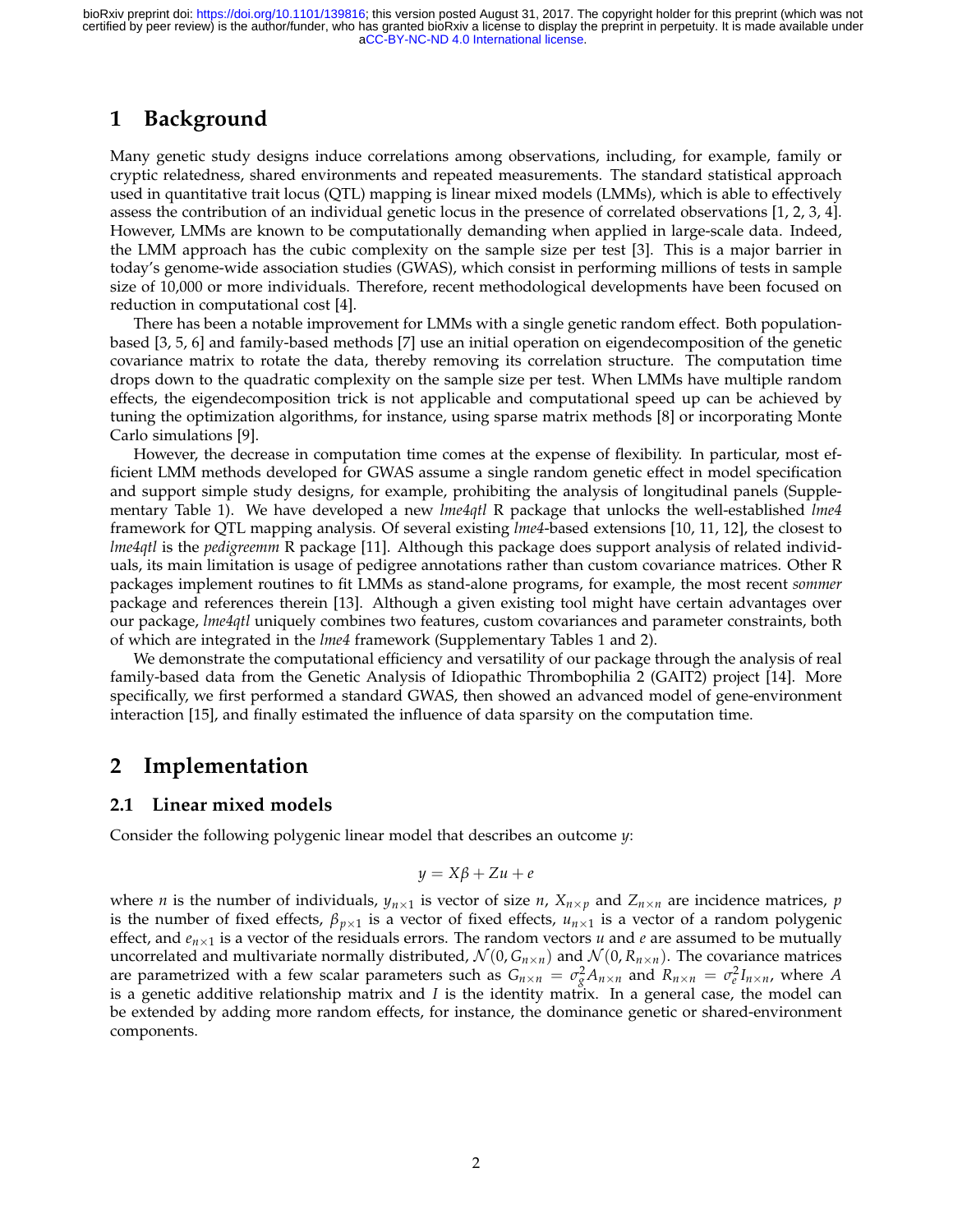# **1 Background**

Many genetic study designs induce correlations among observations, including, for example, family or cryptic relatedness, shared environments and repeated measurements. The standard statistical approach used in quantitative trait locus (QTL) mapping is linear mixed models (LMMs), which is able to effectively assess the contribution of an individual genetic locus in the presence of correlated observations [1, 2, 3, 4]. However, LMMs are known to be computationally demanding when applied in large-scale data. Indeed, the LMM approach has the cubic complexity on the sample size per test [3]. This is a major barrier in today's genome-wide association studies (GWAS), which consist in performing millions of tests in sample size of 10,000 or more individuals. Therefore, recent methodological developments have been focused on reduction in computational cost [4].

There has been a notable improvement for LMMs with a single genetic random effect. Both populationbased [3, 5, 6] and family-based methods [7] use an initial operation on eigendecomposition of the genetic covariance matrix to rotate the data, thereby removing its correlation structure. The computation time drops down to the quadratic complexity on the sample size per test. When LMMs have multiple random effects, the eigendecomposition trick is not applicable and computational speed up can be achieved by tuning the optimization algorithms, for instance, using sparse matrix methods [8] or incorporating Monte Carlo simulations [9].

However, the decrease in computation time comes at the expense of flexibility. In particular, most efficient LMM methods developed for GWAS assume a single random genetic effect in model specification and support simple study designs, for example, prohibiting the analysis of longitudinal panels (Supplementary Table 1). We have developed a new *lme4qtl* R package that unlocks the well-established *lme4* framework for QTL mapping analysis. Of several existing *lme4*-based extensions [10, 11, 12], the closest to *lme4qtl* is the *pedigreemm* R package [11]. Although this package does support analysis of related individuals, its main limitation is usage of pedigree annotations rather than custom covariance matrices. Other R packages implement routines to fit LMMs as stand-alone programs, for example, the most recent *sommer* package and references therein [13]. Although a given existing tool might have certain advantages over our package, *lme4qtl* uniquely combines two features, custom covariances and parameter constraints, both of which are integrated in the *lme4* framework (Supplementary Tables 1 and 2).

We demonstrate the computational efficiency and versatility of our package through the analysis of real family-based data from the Genetic Analysis of Idiopathic Thrombophilia 2 (GAIT2) project [14]. More specifically, we first performed a standard GWAS, then showed an advanced model of gene-environment interaction [15], and finally estimated the influence of data sparsity on the computation time.

### **2 Implementation**

#### **2.1 Linear mixed models**

Consider the following polygenic linear model that describes an outcome *y*:

$$
y = X\beta + Zu + e
$$

where *n* is the number of individuals,  $y_{n\times 1}$  is vector of size *n*,  $X_{n\times p}$  and  $Z_{n\times n}$  are incidence matrices, *p* is the number of fixed effects,  $\beta_{p\times 1}$  is a vector of fixed effects,  $u_{n\times 1}$  is a vector of a random polygenic effect, and  $e_{n\times 1}$  is a vector of the residuals errors. The random vectors *u* and *e* are assumed to be mutually uncorrelated and multivariate normally distributed,  $\mathcal{N}(0, G_{n \times n})$  and  $\mathcal{N}(0, R_{n \times n})$ . The covariance matrices are parametrized with a few scalar parameters such as  $G_{n \times n} = \sigma_g^2 A_{n \times n}$  and  $R_{n \times n} = \sigma_e^2 I_{n \times n}$ , where A is a genetic additive relationship matrix and *I* is the identity matrix. In a general case, the model can be extended by adding more random effects, for instance, the dominance genetic or shared-environment components.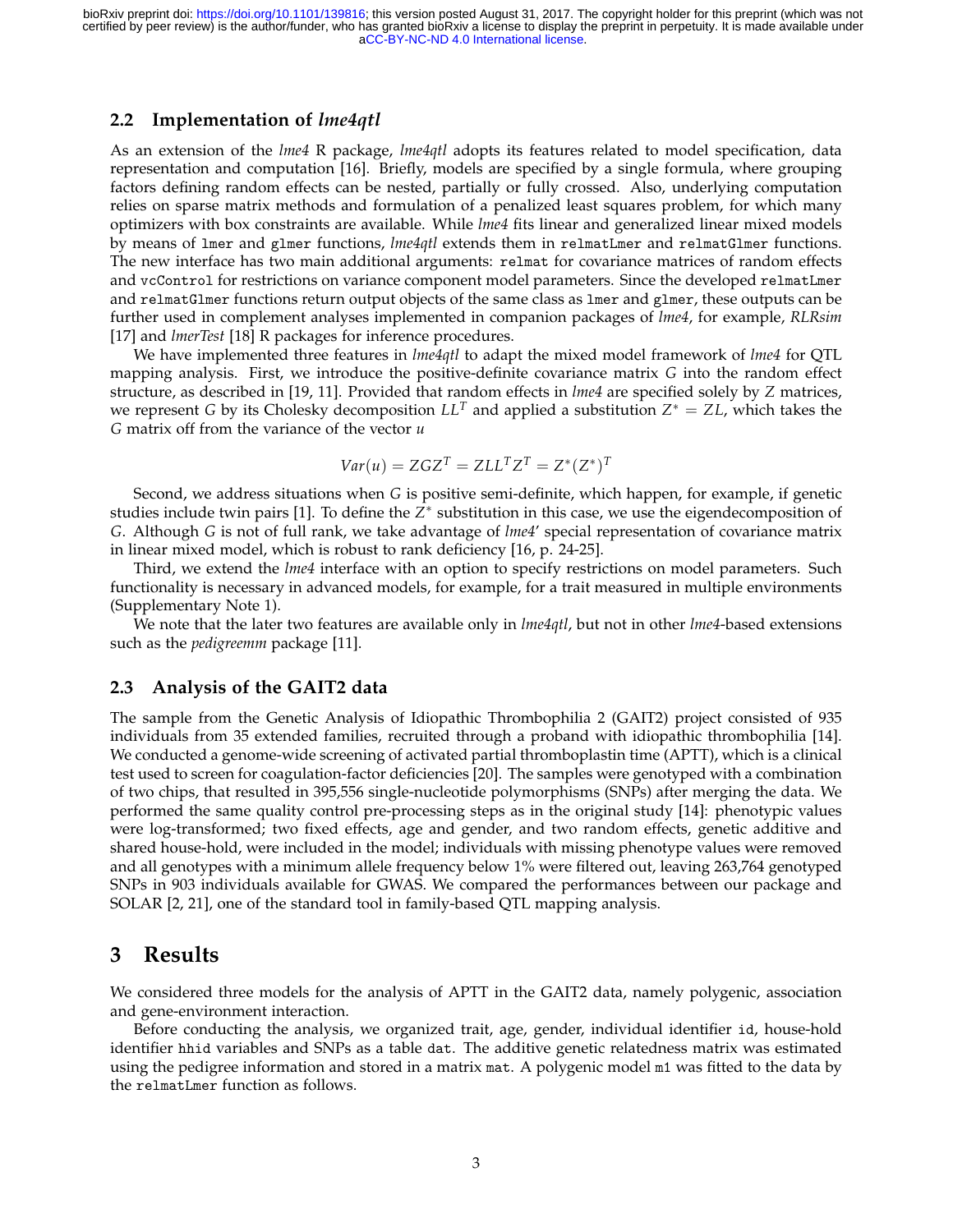[aCC-BY-NC-ND 4.0 International license.](http://creativecommons.org/licenses/by-nc-nd/4.0/) certified by peer review) is the author/funder, who has granted bioRxiv a license to display the preprint in perpetuity. It is made available under bioRxiv preprint doi: [https://doi.org/10.1101/139816;](https://doi.org/10.1101/139816) this version posted August 31, 2017. The copyright holder for this preprint (which was not

#### **2.2 Implementation of** *lme4qtl*

As an extension of the *lme4* R package, *lme4qtl* adopts its features related to model specification, data representation and computation [16]. Briefly, models are specified by a single formula, where grouping factors defining random effects can be nested, partially or fully crossed. Also, underlying computation relies on sparse matrix methods and formulation of a penalized least squares problem, for which many optimizers with box constraints are available. While *lme4* fits linear and generalized linear mixed models by means of lmer and glmer functions, *lme4qtl* extends them in relmatLmer and relmatGlmer functions. The new interface has two main additional arguments: relmat for covariance matrices of random effects and vcControl for restrictions on variance component model parameters. Since the developed relmatLmer and relmatGlmer functions return output objects of the same class as lmer and glmer, these outputs can be further used in complement analyses implemented in companion packages of *lme4*, for example, *RLRsim* [17] and *lmerTest* [18] R packages for inference procedures.

We have implemented three features in *lme4qtl* to adapt the mixed model framework of *lme4* for QTL mapping analysis. First, we introduce the positive-definite covariance matrix *G* into the random effect structure, as described in [19, 11]. Provided that random effects in *lme4* are specified solely by *Z* matrices, we represent *G* by its Cholesky decomposition  $LL^T$  and applied a substitution  $Z^* = ZL$ , which takes the *G* matrix off from the variance of the vector *u*

$$
Var(u) = ZGZ^{T} = ZLL^{T}Z^{T} = Z^{*}(Z^{*})^{T}
$$

Second, we address situations when *G* is positive semi-definite, which happen, for example, if genetic studies include twin pairs [1]. To define the  $Z^*$  substitution in this case, we use the eigendecomposition of *G*. Although *G* is not of full rank, we take advantage of *lme4*' special representation of covariance matrix in linear mixed model, which is robust to rank deficiency [16, p. 24-25].

Third, we extend the *lme4* interface with an option to specify restrictions on model parameters. Such functionality is necessary in advanced models, for example, for a trait measured in multiple environments (Supplementary Note 1).

We note that the later two features are available only in *lme4qtl*, but not in other *lme4*-based extensions such as the *pedigreemm* package [11].

#### **2.3 Analysis of the GAIT2 data**

The sample from the Genetic Analysis of Idiopathic Thrombophilia 2 (GAIT2) project consisted of 935 individuals from 35 extended families, recruited through a proband with idiopathic thrombophilia [14]. We conducted a genome-wide screening of activated partial thromboplastin time (APTT), which is a clinical test used to screen for coagulation-factor deficiencies [20]. The samples were genotyped with a combination of two chips, that resulted in 395,556 single-nucleotide polymorphisms (SNPs) after merging the data. We performed the same quality control pre-processing steps as in the original study [14]: phenotypic values were log-transformed; two fixed effects, age and gender, and two random effects, genetic additive and shared house-hold, were included in the model; individuals with missing phenotype values were removed and all genotypes with a minimum allele frequency below 1% were filtered out, leaving 263,764 genotyped SNPs in 903 individuals available for GWAS. We compared the performances between our package and SOLAR [2, 21], one of the standard tool in family-based QTL mapping analysis.

#### **3 Results**

We considered three models for the analysis of APTT in the GAIT2 data, namely polygenic, association and gene-environment interaction.

Before conducting the analysis, we organized trait, age, gender, individual identifier id, house-hold identifier hhid variables and SNPs as a table dat. The additive genetic relatedness matrix was estimated using the pedigree information and stored in a matrix mat. A polygenic model m1 was fitted to the data by the relmatLmer function as follows.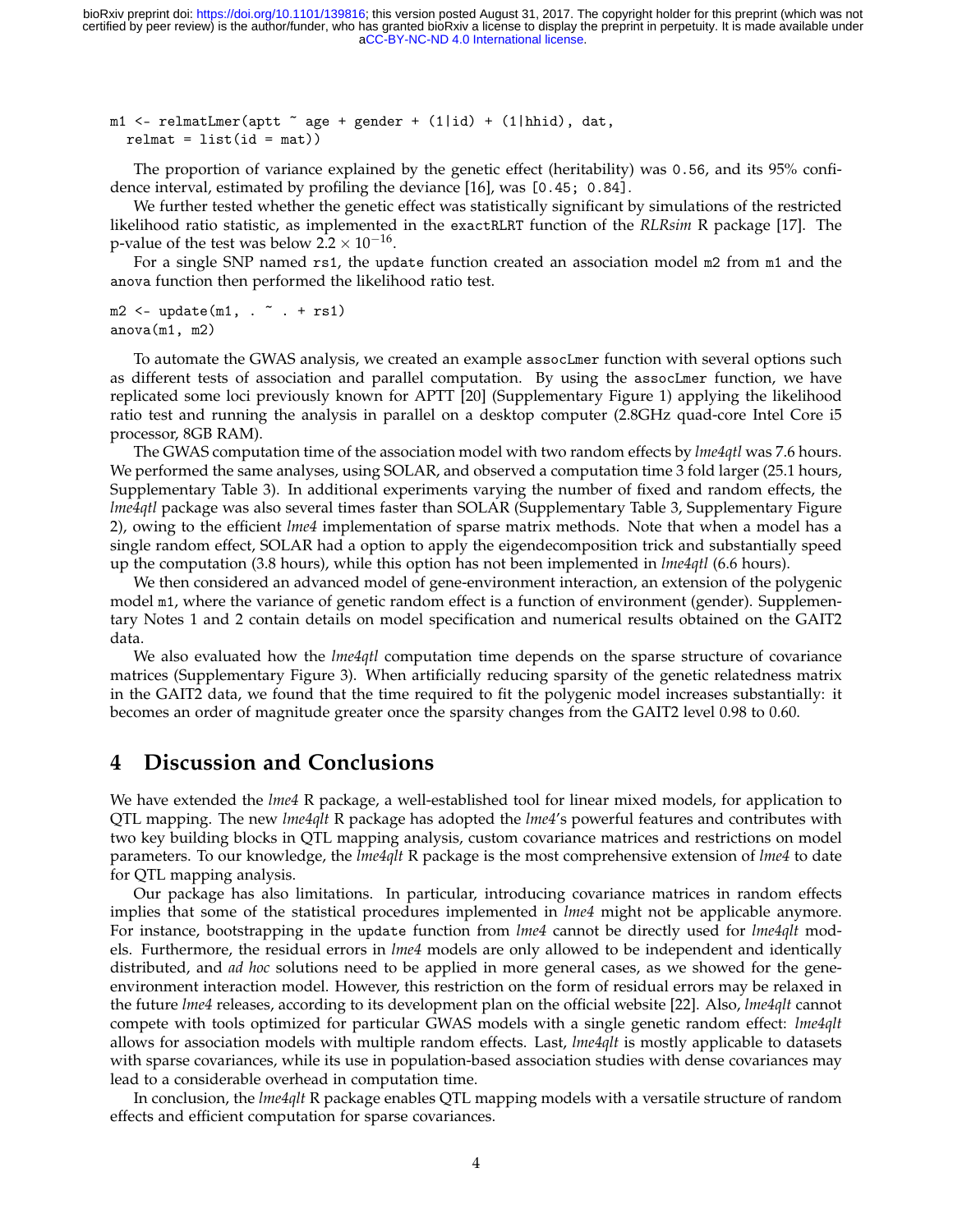m1 <- relmatLmer(aptt  $\tilde{ }$  age + gender + (1|id) + (1|hhid), dat,  $relmat = list(id = mat))$ 

The proportion of variance explained by the genetic effect (heritability) was 0.56, and its 95% confidence interval, estimated by profiling the deviance [16], was [0.45; 0.84].

We further tested whether the genetic effect was statistically significant by simulations of the restricted likelihood ratio statistic, as implemented in the exactRLRT function of the *RLRsim* R package [17]. The p-value of the test was below  $2.2 \times 10^{-16}$ .

For a single SNP named rs1, the update function created an association model m2 from m1 and the anova function then performed the likelihood ratio test.

 $m2 \leq -$  update $(m1, . . . + rs1)$ anova(m1, m2)

To automate the GWAS analysis, we created an example assocLmer function with several options such as different tests of association and parallel computation. By using the assocLmer function, we have replicated some loci previously known for APTT [20] (Supplementary Figure 1) applying the likelihood ratio test and running the analysis in parallel on a desktop computer (2.8GHz quad-core Intel Core i5 processor, 8GB RAM).

The GWAS computation time of the association model with two random effects by *lme4qtl* was 7.6 hours. We performed the same analyses, using SOLAR, and observed a computation time 3 fold larger (25.1 hours, Supplementary Table 3). In additional experiments varying the number of fixed and random effects, the *lme4qtl* package was also several times faster than SOLAR (Supplementary Table 3, Supplementary Figure 2), owing to the efficient *lme4* implementation of sparse matrix methods. Note that when a model has a single random effect, SOLAR had a option to apply the eigendecomposition trick and substantially speed up the computation (3.8 hours), while this option has not been implemented in *lme4qtl* (6.6 hours).

We then considered an advanced model of gene-environment interaction, an extension of the polygenic model m1, where the variance of genetic random effect is a function of environment (gender). Supplementary Notes 1 and 2 contain details on model specification and numerical results obtained on the GAIT2 data.

We also evaluated how the *lme4qtl* computation time depends on the sparse structure of covariance matrices (Supplementary Figure 3). When artificially reducing sparsity of the genetic relatedness matrix in the GAIT2 data, we found that the time required to fit the polygenic model increases substantially: it becomes an order of magnitude greater once the sparsity changes from the GAIT2 level 0.98 to 0.60.

#### **4 Discussion and Conclusions**

We have extended the *lme4* R package, a well-established tool for linear mixed models, for application to QTL mapping. The new *lme4qlt* R package has adopted the *lme4*'s powerful features and contributes with two key building blocks in QTL mapping analysis, custom covariance matrices and restrictions on model parameters. To our knowledge, the *lme4qlt* R package is the most comprehensive extension of *lme4* to date for QTL mapping analysis.

Our package has also limitations. In particular, introducing covariance matrices in random effects implies that some of the statistical procedures implemented in *lme4* might not be applicable anymore. For instance, bootstrapping in the update function from *lme4* cannot be directly used for *lme4qlt* models. Furthermore, the residual errors in *lme4* models are only allowed to be independent and identically distributed, and *ad hoc* solutions need to be applied in more general cases, as we showed for the geneenvironment interaction model. However, this restriction on the form of residual errors may be relaxed in the future *lme4* releases, according to its development plan on the official website [22]. Also, *lme4qlt* cannot compete with tools optimized for particular GWAS models with a single genetic random effect: *lme4qlt* allows for association models with multiple random effects. Last, *lme4qlt* is mostly applicable to datasets with sparse covariances, while its use in population-based association studies with dense covariances may lead to a considerable overhead in computation time.

In conclusion, the *lme4qlt* R package enables QTL mapping models with a versatile structure of random effects and efficient computation for sparse covariances.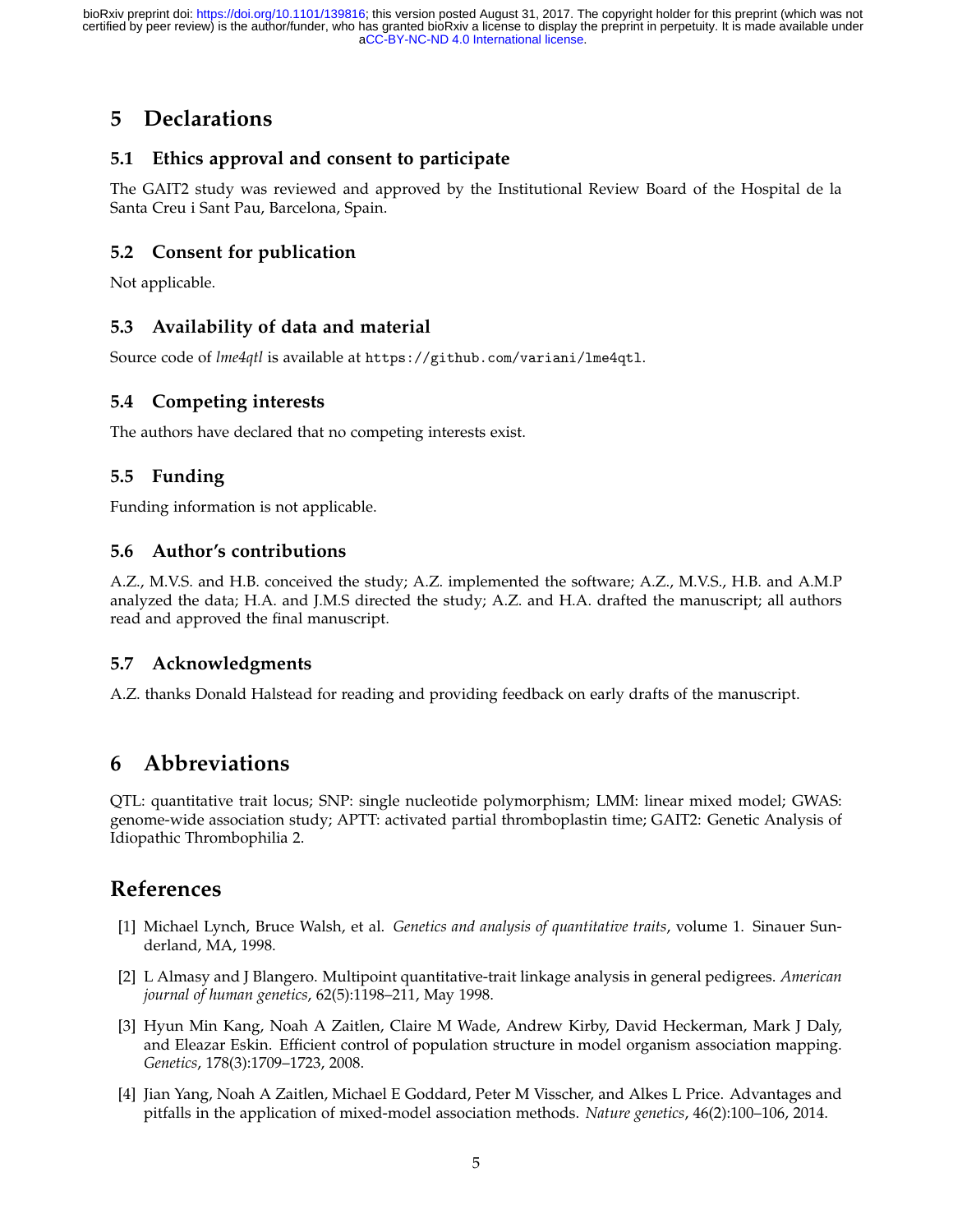# **5 Declarations**

### **5.1 Ethics approval and consent to participate**

The GAIT2 study was reviewed and approved by the Institutional Review Board of the Hospital de la Santa Creu i Sant Pau, Barcelona, Spain.

#### **5.2 Consent for publication**

Not applicable.

### **5.3 Availability of data and material**

Source code of *lme4qtl* is available at https://github.com/variani/lme4qtl.

### **5.4 Competing interests**

The authors have declared that no competing interests exist.

### **5.5 Funding**

Funding information is not applicable.

#### **5.6 Author's contributions**

A.Z., M.V.S. and H.B. conceived the study; A.Z. implemented the software; A.Z., M.V.S., H.B. and A.M.P analyzed the data; H.A. and J.M.S directed the study; A.Z. and H.A. drafted the manuscript; all authors read and approved the final manuscript.

#### **5.7 Acknowledgments**

A.Z. thanks Donald Halstead for reading and providing feedback on early drafts of the manuscript.

# **6 Abbreviations**

QTL: quantitative trait locus; SNP: single nucleotide polymorphism; LMM: linear mixed model; GWAS: genome-wide association study; APTT: activated partial thromboplastin time; GAIT2: Genetic Analysis of Idiopathic Thrombophilia 2.

# **References**

- [1] Michael Lynch, Bruce Walsh, et al. *Genetics and analysis of quantitative traits*, volume 1. Sinauer Sunderland, MA, 1998.
- [2] L Almasy and J Blangero. Multipoint quantitative-trait linkage analysis in general pedigrees. *American journal of human genetics*, 62(5):1198–211, May 1998.
- [3] Hyun Min Kang, Noah A Zaitlen, Claire M Wade, Andrew Kirby, David Heckerman, Mark J Daly, and Eleazar Eskin. Efficient control of population structure in model organism association mapping. *Genetics*, 178(3):1709–1723, 2008.
- [4] Jian Yang, Noah A Zaitlen, Michael E Goddard, Peter M Visscher, and Alkes L Price. Advantages and pitfalls in the application of mixed-model association methods. *Nature genetics*, 46(2):100–106, 2014.